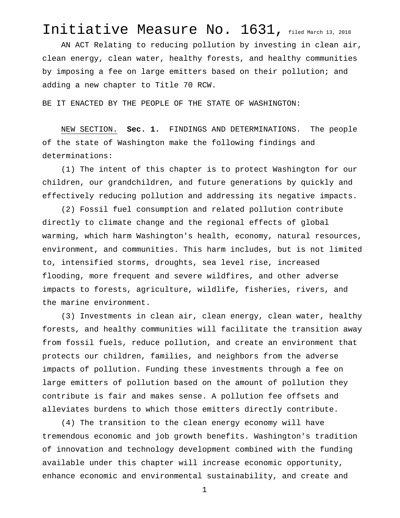## Initiative Measure No. 1631, filed March 13, 2018

AN ACT Relating to reducing pollution by investing in clean air, clean energy, clean water, healthy forests, and healthy communities by imposing a fee on large emitters based on their pollution; and adding a new chapter to Title 70 RCW.

BE IT ENACTED BY THE PEOPLE OF THE STATE OF WASHINGTON:

NEW SECTION. **Sec. 1.** FINDINGS AND DETERMINATIONS. The people of the state of Washington make the following findings and determinations:

(1) The intent of this chapter is to protect Washington for our children, our grandchildren, and future generations by quickly and effectively reducing pollution and addressing its negative impacts.

(2) Fossil fuel consumption and related pollution contribute directly to climate change and the regional effects of global warming, which harm Washington's health, economy, natural resources, environment, and communities. This harm includes, but is not limited to, intensified storms, droughts, sea level rise, increased flooding, more frequent and severe wildfires, and other adverse impacts to forests, agriculture, wildlife, fisheries, rivers, and the marine environment.

(3) Investments in clean air, clean energy, clean water, healthy forests, and healthy communities will facilitate the transition away from fossil fuels, reduce pollution, and create an environment that protects our children, families, and neighbors from the adverse impacts of pollution. Funding these investments through a fee on large emitters of pollution based on the amount of pollution they contribute is fair and makes sense. A pollution fee offsets and alleviates burdens to which those emitters directly contribute.

(4) The transition to the clean energy economy will have tremendous economic and job growth benefits. Washington's tradition of innovation and technology development combined with the funding available under this chapter will increase economic opportunity, enhance economic and environmental sustainability, and create and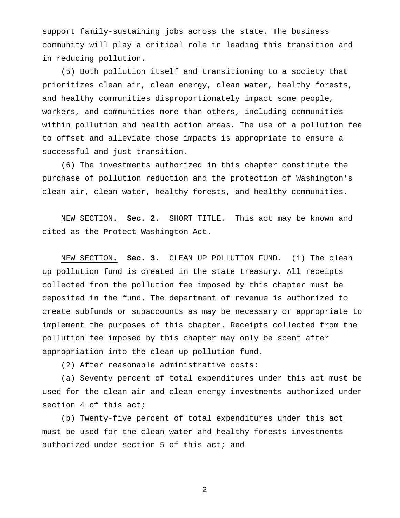support family-sustaining jobs across the state. The business community will play a critical role in leading this transition and in reducing pollution.

(5) Both pollution itself and transitioning to a society that prioritizes clean air, clean energy, clean water, healthy forests, and healthy communities disproportionately impact some people, workers, and communities more than others, including communities within pollution and health action areas. The use of a pollution fee to offset and alleviate those impacts is appropriate to ensure a successful and just transition.

(6) The investments authorized in this chapter constitute the purchase of pollution reduction and the protection of Washington's clean air, clean water, healthy forests, and healthy communities.

NEW SECTION. **Sec. 2.** SHORT TITLE. This act may be known and cited as the Protect Washington Act.

NEW SECTION. **Sec. 3.** CLEAN UP POLLUTION FUND. (1) The clean up pollution fund is created in the state treasury. All receipts collected from the pollution fee imposed by this chapter must be deposited in the fund. The department of revenue is authorized to create subfunds or subaccounts as may be necessary or appropriate to implement the purposes of this chapter. Receipts collected from the pollution fee imposed by this chapter may only be spent after appropriation into the clean up pollution fund.

(2) After reasonable administrative costs:

(a) Seventy percent of total expenditures under this act must be used for the clean air and clean energy investments authorized under section 4 of this act;

(b) Twenty-five percent of total expenditures under this act must be used for the clean water and healthy forests investments authorized under section 5 of this act; and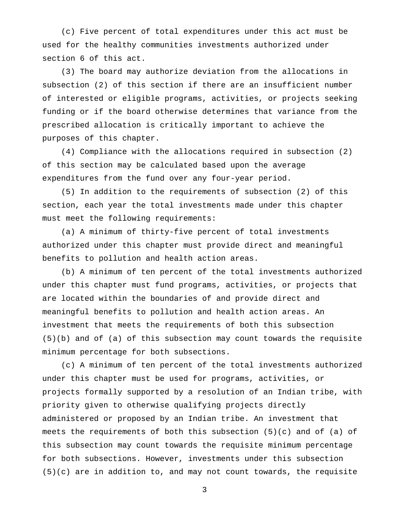(c) Five percent of total expenditures under this act must be used for the healthy communities investments authorized under section 6 of this act.

(3) The board may authorize deviation from the allocations in subsection (2) of this section if there are an insufficient number of interested or eligible programs, activities, or projects seeking funding or if the board otherwise determines that variance from the prescribed allocation is critically important to achieve the purposes of this chapter.

(4) Compliance with the allocations required in subsection (2) of this section may be calculated based upon the average expenditures from the fund over any four-year period.

(5) In addition to the requirements of subsection (2) of this section, each year the total investments made under this chapter must meet the following requirements:

(a) A minimum of thirty-five percent of total investments authorized under this chapter must provide direct and meaningful benefits to pollution and health action areas.

(b) A minimum of ten percent of the total investments authorized under this chapter must fund programs, activities, or projects that are located within the boundaries of and provide direct and meaningful benefits to pollution and health action areas. An investment that meets the requirements of both this subsection (5)(b) and of (a) of this subsection may count towards the requisite minimum percentage for both subsections.

(c) A minimum of ten percent of the total investments authorized under this chapter must be used for programs, activities, or projects formally supported by a resolution of an Indian tribe, with priority given to otherwise qualifying projects directly administered or proposed by an Indian tribe. An investment that meets the requirements of both this subsection (5)(c) and of (a) of this subsection may count towards the requisite minimum percentage for both subsections. However, investments under this subsection (5)(c) are in addition to, and may not count towards, the requisite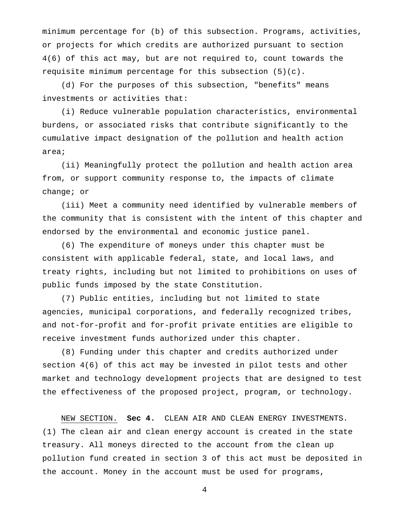minimum percentage for (b) of this subsection. Programs, activities, or projects for which credits are authorized pursuant to section 4(6) of this act may, but are not required to, count towards the requisite minimum percentage for this subsection (5)(c).

(d) For the purposes of this subsection, "benefits" means investments or activities that:

(i) Reduce vulnerable population characteristics, environmental burdens, or associated risks that contribute significantly to the cumulative impact designation of the pollution and health action area;

(ii) Meaningfully protect the pollution and health action area from, or support community response to, the impacts of climate change; or

(iii) Meet a community need identified by vulnerable members of the community that is consistent with the intent of this chapter and endorsed by the environmental and economic justice panel.

(6) The expenditure of moneys under this chapter must be consistent with applicable federal, state, and local laws, and treaty rights, including but not limited to prohibitions on uses of public funds imposed by the state Constitution.

(7) Public entities, including but not limited to state agencies, municipal corporations, and federally recognized tribes, and not-for-profit and for-profit private entities are eligible to receive investment funds authorized under this chapter.

(8) Funding under this chapter and credits authorized under section 4(6) of this act may be invested in pilot tests and other market and technology development projects that are designed to test the effectiveness of the proposed project, program, or technology.

NEW SECTION. **Sec 4.** CLEAN AIR AND CLEAN ENERGY INVESTMENTS. (1) The clean air and clean energy account is created in the state treasury. All moneys directed to the account from the clean up pollution fund created in section 3 of this act must be deposited in the account. Money in the account must be used for programs,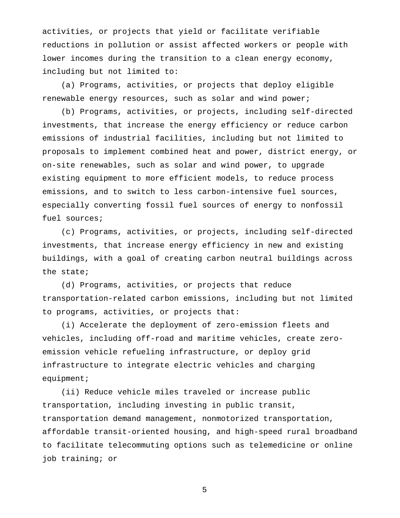activities, or projects that yield or facilitate verifiable reductions in pollution or assist affected workers or people with lower incomes during the transition to a clean energy economy, including but not limited to:

(a) Programs, activities, or projects that deploy eligible renewable energy resources, such as solar and wind power;

(b) Programs, activities, or projects, including self-directed investments, that increase the energy efficiency or reduce carbon emissions of industrial facilities, including but not limited to proposals to implement combined heat and power, district energy, or on-site renewables, such as solar and wind power, to upgrade existing equipment to more efficient models, to reduce process emissions, and to switch to less carbon-intensive fuel sources, especially converting fossil fuel sources of energy to nonfossil fuel sources;

(c) Programs, activities, or projects, including self-directed investments, that increase energy efficiency in new and existing buildings, with a goal of creating carbon neutral buildings across the state;

(d) Programs, activities, or projects that reduce transportation-related carbon emissions, including but not limited to programs, activities, or projects that:

(i) Accelerate the deployment of zero-emission fleets and vehicles, including off-road and maritime vehicles, create zeroemission vehicle refueling infrastructure, or deploy grid infrastructure to integrate electric vehicles and charging equipment;

(ii) Reduce vehicle miles traveled or increase public transportation, including investing in public transit, transportation demand management, nonmotorized transportation, affordable transit-oriented housing, and high-speed rural broadband to facilitate telecommuting options such as telemedicine or online job training; or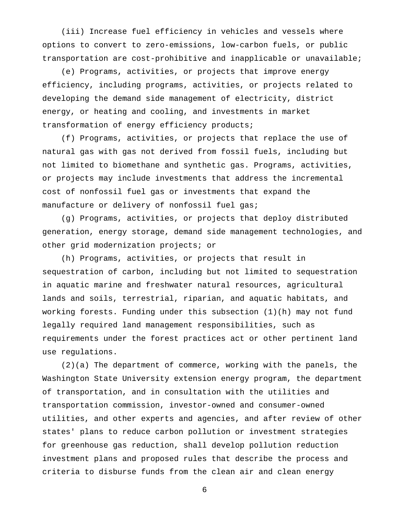(iii) Increase fuel efficiency in vehicles and vessels where options to convert to zero-emissions, low-carbon fuels, or public transportation are cost-prohibitive and inapplicable or unavailable;

(e) Programs, activities, or projects that improve energy efficiency, including programs, activities, or projects related to developing the demand side management of electricity, district energy, or heating and cooling, and investments in market transformation of energy efficiency products;

(f) Programs, activities, or projects that replace the use of natural gas with gas not derived from fossil fuels, including but not limited to biomethane and synthetic gas. Programs, activities, or projects may include investments that address the incremental cost of nonfossil fuel gas or investments that expand the manufacture or delivery of nonfossil fuel gas;

(g) Programs, activities, or projects that deploy distributed generation, energy storage, demand side management technologies, and other grid modernization projects; or

(h) Programs, activities, or projects that result in sequestration of carbon, including but not limited to sequestration in aquatic marine and freshwater natural resources, agricultural lands and soils, terrestrial, riparian, and aquatic habitats, and working forests. Funding under this subsection (1)(h) may not fund legally required land management responsibilities, such as requirements under the forest practices act or other pertinent land use regulations.

(2)(a) The department of commerce, working with the panels, the Washington State University extension energy program, the department of transportation, and in consultation with the utilities and transportation commission, investor-owned and consumer-owned utilities, and other experts and agencies, and after review of other states' plans to reduce carbon pollution or investment strategies for greenhouse gas reduction, shall develop pollution reduction investment plans and proposed rules that describe the process and criteria to disburse funds from the clean air and clean energy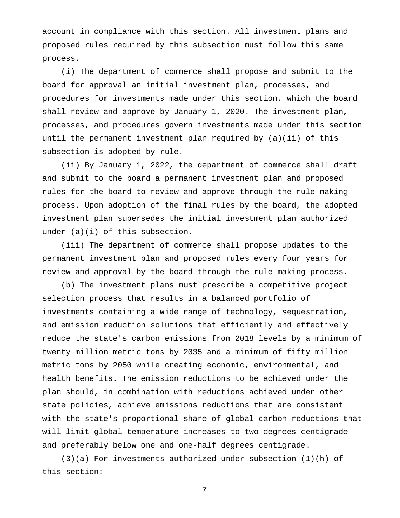account in compliance with this section. All investment plans and proposed rules required by this subsection must follow this same process.

(i) The department of commerce shall propose and submit to the board for approval an initial investment plan, processes, and procedures for investments made under this section, which the board shall review and approve by January 1, 2020. The investment plan, processes, and procedures govern investments made under this section until the permanent investment plan required by (a)(ii) of this subsection is adopted by rule.

(ii) By January 1, 2022, the department of commerce shall draft and submit to the board a permanent investment plan and proposed rules for the board to review and approve through the rule-making process. Upon adoption of the final rules by the board, the adopted investment plan supersedes the initial investment plan authorized under (a)(i) of this subsection.

(iii) The department of commerce shall propose updates to the permanent investment plan and proposed rules every four years for review and approval by the board through the rule-making process.

(b) The investment plans must prescribe a competitive project selection process that results in a balanced portfolio of investments containing a wide range of technology, sequestration, and emission reduction solutions that efficiently and effectively reduce the state's carbon emissions from 2018 levels by a minimum of twenty million metric tons by 2035 and a minimum of fifty million metric tons by 2050 while creating economic, environmental, and health benefits. The emission reductions to be achieved under the plan should, in combination with reductions achieved under other state policies, achieve emissions reductions that are consistent with the state's proportional share of global carbon reductions that will limit global temperature increases to two degrees centigrade and preferably below one and one-half degrees centigrade.

(3)(a) For investments authorized under subsection (1)(h) of this section: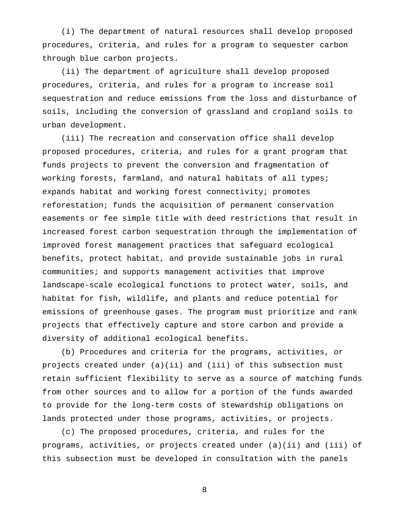(i) The department of natural resources shall develop proposed procedures, criteria, and rules for a program to sequester carbon through blue carbon projects.

(ii) The department of agriculture shall develop proposed procedures, criteria, and rules for a program to increase soil sequestration and reduce emissions from the loss and disturbance of soils, including the conversion of grassland and cropland soils to urban development.

(iii) The recreation and conservation office shall develop proposed procedures, criteria, and rules for a grant program that funds projects to prevent the conversion and fragmentation of working forests, farmland, and natural habitats of all types; expands habitat and working forest connectivity; promotes reforestation; funds the acquisition of permanent conservation easements or fee simple title with deed restrictions that result in increased forest carbon sequestration through the implementation of improved forest management practices that safeguard ecological benefits, protect habitat, and provide sustainable jobs in rural communities; and supports management activities that improve landscape-scale ecological functions to protect water, soils, and habitat for fish, wildlife, and plants and reduce potential for emissions of greenhouse gases. The program must prioritize and rank projects that effectively capture and store carbon and provide a diversity of additional ecological benefits.

(b) Procedures and criteria for the programs, activities, or projects created under (a)(ii) and (iii) of this subsection must retain sufficient flexibility to serve as a source of matching funds from other sources and to allow for a portion of the funds awarded to provide for the long-term costs of stewardship obligations on lands protected under those programs, activities, or projects.

(c) The proposed procedures, criteria, and rules for the programs, activities, or projects created under (a)(ii) and (iii) of this subsection must be developed in consultation with the panels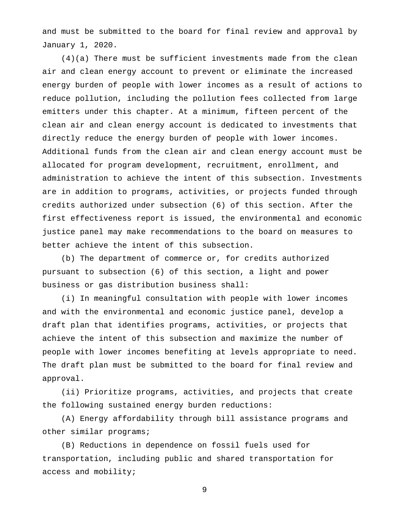and must be submitted to the board for final review and approval by January 1, 2020.

(4)(a) There must be sufficient investments made from the clean air and clean energy account to prevent or eliminate the increased energy burden of people with lower incomes as a result of actions to reduce pollution, including the pollution fees collected from large emitters under this chapter. At a minimum, fifteen percent of the clean air and clean energy account is dedicated to investments that directly reduce the energy burden of people with lower incomes. Additional funds from the clean air and clean energy account must be allocated for program development, recruitment, enrollment, and administration to achieve the intent of this subsection. Investments are in addition to programs, activities, or projects funded through credits authorized under subsection (6) of this section. After the first effectiveness report is issued, the environmental and economic justice panel may make recommendations to the board on measures to better achieve the intent of this subsection.

(b) The department of commerce or, for credits authorized pursuant to subsection (6) of this section, a light and power business or gas distribution business shall:

(i) In meaningful consultation with people with lower incomes and with the environmental and economic justice panel, develop a draft plan that identifies programs, activities, or projects that achieve the intent of this subsection and maximize the number of people with lower incomes benefiting at levels appropriate to need. The draft plan must be submitted to the board for final review and approval.

(ii) Prioritize programs, activities, and projects that create the following sustained energy burden reductions:

(A) Energy affordability through bill assistance programs and other similar programs;

(B) Reductions in dependence on fossil fuels used for transportation, including public and shared transportation for access and mobility;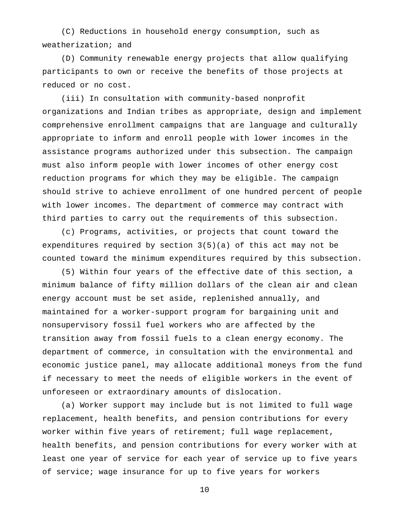(C) Reductions in household energy consumption, such as weatherization; and

(D) Community renewable energy projects that allow qualifying participants to own or receive the benefits of those projects at reduced or no cost.

(iii) In consultation with community-based nonprofit organizations and Indian tribes as appropriate, design and implement comprehensive enrollment campaigns that are language and culturally appropriate to inform and enroll people with lower incomes in the assistance programs authorized under this subsection. The campaign must also inform people with lower incomes of other energy cost reduction programs for which they may be eligible. The campaign should strive to achieve enrollment of one hundred percent of people with lower incomes. The department of commerce may contract with third parties to carry out the requirements of this subsection.

(c) Programs, activities, or projects that count toward the expenditures required by section 3(5)(a) of this act may not be counted toward the minimum expenditures required by this subsection.

(5) Within four years of the effective date of this section, a minimum balance of fifty million dollars of the clean air and clean energy account must be set aside, replenished annually, and maintained for a worker-support program for bargaining unit and nonsupervisory fossil fuel workers who are affected by the transition away from fossil fuels to a clean energy economy. The department of commerce, in consultation with the environmental and economic justice panel, may allocate additional moneys from the fund if necessary to meet the needs of eligible workers in the event of unforeseen or extraordinary amounts of dislocation.

(a) Worker support may include but is not limited to full wage replacement, health benefits, and pension contributions for every worker within five years of retirement; full wage replacement, health benefits, and pension contributions for every worker with at least one year of service for each year of service up to five years of service; wage insurance for up to five years for workers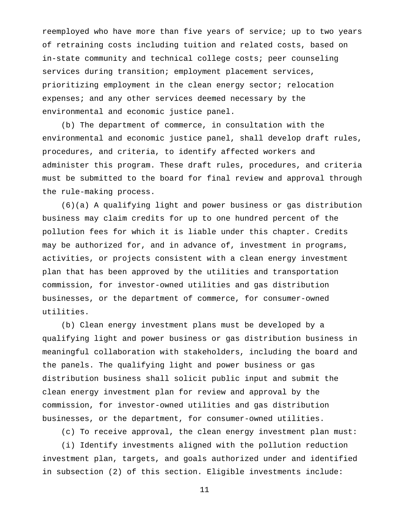reemployed who have more than five years of service; up to two years of retraining costs including tuition and related costs, based on in-state community and technical college costs; peer counseling services during transition; employment placement services, prioritizing employment in the clean energy sector; relocation expenses; and any other services deemed necessary by the environmental and economic justice panel.

(b) The department of commerce, in consultation with the environmental and economic justice panel, shall develop draft rules, procedures, and criteria, to identify affected workers and administer this program. These draft rules, procedures, and criteria must be submitted to the board for final review and approval through the rule-making process.

(6)(a) A qualifying light and power business or gas distribution business may claim credits for up to one hundred percent of the pollution fees for which it is liable under this chapter. Credits may be authorized for, and in advance of, investment in programs, activities, or projects consistent with a clean energy investment plan that has been approved by the utilities and transportation commission, for investor-owned utilities and gas distribution businesses, or the department of commerce, for consumer-owned utilities.

(b) Clean energy investment plans must be developed by a qualifying light and power business or gas distribution business in meaningful collaboration with stakeholders, including the board and the panels. The qualifying light and power business or gas distribution business shall solicit public input and submit the clean energy investment plan for review and approval by the commission, for investor-owned utilities and gas distribution businesses, or the department, for consumer-owned utilities.

(c) To receive approval, the clean energy investment plan must:

(i) Identify investments aligned with the pollution reduction investment plan, targets, and goals authorized under and identified in subsection (2) of this section. Eligible investments include: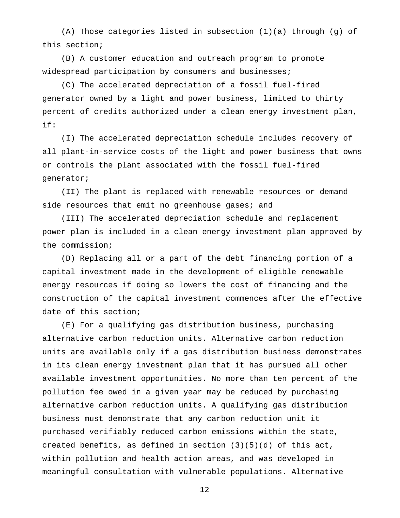(A) Those categories listed in subsection (1)(a) through (g) of this section;

(B) A customer education and outreach program to promote widespread participation by consumers and businesses;

(C) The accelerated depreciation of a fossil fuel-fired generator owned by a light and power business, limited to thirty percent of credits authorized under a clean energy investment plan, if:

(I) The accelerated depreciation schedule includes recovery of all plant-in-service costs of the light and power business that owns or controls the plant associated with the fossil fuel-fired generator;

(II) The plant is replaced with renewable resources or demand side resources that emit no greenhouse gases; and

(III) The accelerated depreciation schedule and replacement power plan is included in a clean energy investment plan approved by the commission;

(D) Replacing all or a part of the debt financing portion of a capital investment made in the development of eligible renewable energy resources if doing so lowers the cost of financing and the construction of the capital investment commences after the effective date of this section;

(E) For a qualifying gas distribution business, purchasing alternative carbon reduction units. Alternative carbon reduction units are available only if a gas distribution business demonstrates in its clean energy investment plan that it has pursued all other available investment opportunities. No more than ten percent of the pollution fee owed in a given year may be reduced by purchasing alternative carbon reduction units. A qualifying gas distribution business must demonstrate that any carbon reduction unit it purchased verifiably reduced carbon emissions within the state, created benefits, as defined in section  $(3)(5)(d)$  of this act, within pollution and health action areas, and was developed in meaningful consultation with vulnerable populations. Alternative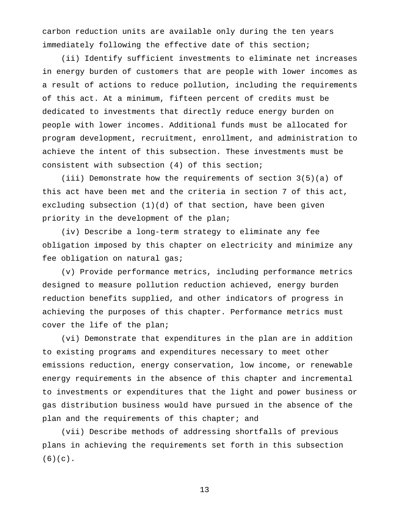carbon reduction units are available only during the ten years immediately following the effective date of this section;

(ii) Identify sufficient investments to eliminate net increases in energy burden of customers that are people with lower incomes as a result of actions to reduce pollution, including the requirements of this act. At a minimum, fifteen percent of credits must be dedicated to investments that directly reduce energy burden on people with lower incomes. Additional funds must be allocated for program development, recruitment, enrollment, and administration to achieve the intent of this subsection. These investments must be consistent with subsection (4) of this section;

(iii) Demonstrate how the requirements of section 3(5)(a) of this act have been met and the criteria in section 7 of this act, excluding subsection (1)(d) of that section, have been given priority in the development of the plan;

(iv) Describe a long-term strategy to eliminate any fee obligation imposed by this chapter on electricity and minimize any fee obligation on natural gas;

(v) Provide performance metrics, including performance metrics designed to measure pollution reduction achieved, energy burden reduction benefits supplied, and other indicators of progress in achieving the purposes of this chapter. Performance metrics must cover the life of the plan;

(vi) Demonstrate that expenditures in the plan are in addition to existing programs and expenditures necessary to meet other emissions reduction, energy conservation, low income, or renewable energy requirements in the absence of this chapter and incremental to investments or expenditures that the light and power business or gas distribution business would have pursued in the absence of the plan and the requirements of this chapter; and

(vii) Describe methods of addressing shortfalls of previous plans in achieving the requirements set forth in this subsection  $(6)(c)$ .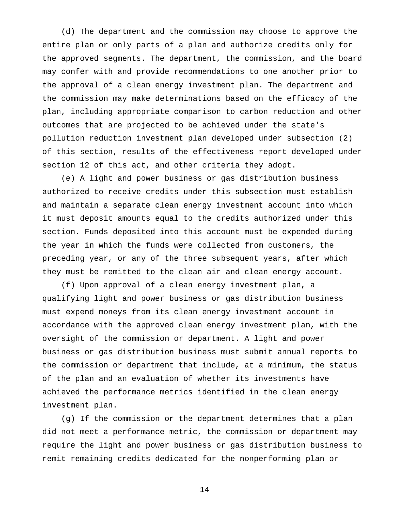(d) The department and the commission may choose to approve the entire plan or only parts of a plan and authorize credits only for the approved segments. The department, the commission, and the board may confer with and provide recommendations to one another prior to the approval of a clean energy investment plan. The department and the commission may make determinations based on the efficacy of the plan, including appropriate comparison to carbon reduction and other outcomes that are projected to be achieved under the state's pollution reduction investment plan developed under subsection (2) of this section, results of the effectiveness report developed under section 12 of this act, and other criteria they adopt.

(e) A light and power business or gas distribution business authorized to receive credits under this subsection must establish and maintain a separate clean energy investment account into which it must deposit amounts equal to the credits authorized under this section. Funds deposited into this account must be expended during the year in which the funds were collected from customers, the preceding year, or any of the three subsequent years, after which they must be remitted to the clean air and clean energy account.

(f) Upon approval of a clean energy investment plan, a qualifying light and power business or gas distribution business must expend moneys from its clean energy investment account in accordance with the approved clean energy investment plan, with the oversight of the commission or department. A light and power business or gas distribution business must submit annual reports to the commission or department that include, at a minimum, the status of the plan and an evaluation of whether its investments have achieved the performance metrics identified in the clean energy investment plan.

(g) If the commission or the department determines that a plan did not meet a performance metric, the commission or department may require the light and power business or gas distribution business to remit remaining credits dedicated for the nonperforming plan or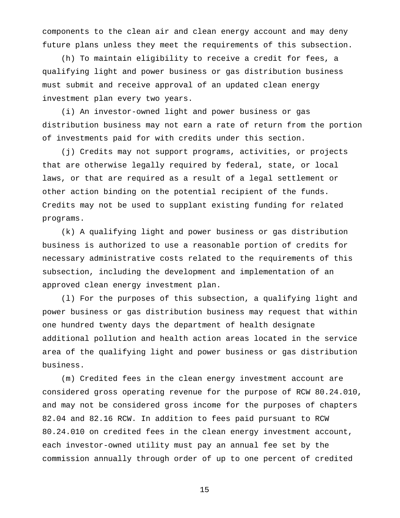components to the clean air and clean energy account and may deny future plans unless they meet the requirements of this subsection.

(h) To maintain eligibility to receive a credit for fees, a qualifying light and power business or gas distribution business must submit and receive approval of an updated clean energy investment plan every two years.

(i) An investor-owned light and power business or gas distribution business may not earn a rate of return from the portion of investments paid for with credits under this section.

(j) Credits may not support programs, activities, or projects that are otherwise legally required by federal, state, or local laws, or that are required as a result of a legal settlement or other action binding on the potential recipient of the funds. Credits may not be used to supplant existing funding for related programs.

(k) A qualifying light and power business or gas distribution business is authorized to use a reasonable portion of credits for necessary administrative costs related to the requirements of this subsection, including the development and implementation of an approved clean energy investment plan.

(l) For the purposes of this subsection, a qualifying light and power business or gas distribution business may request that within one hundred twenty days the department of health designate additional pollution and health action areas located in the service area of the qualifying light and power business or gas distribution business.

(m) Credited fees in the clean energy investment account are considered gross operating revenue for the purpose of RCW 80.24.010, and may not be considered gross income for the purposes of chapters 82.04 and 82.16 RCW. In addition to fees paid pursuant to RCW 80.24.010 on credited fees in the clean energy investment account, each investor-owned utility must pay an annual fee set by the commission annually through order of up to one percent of credited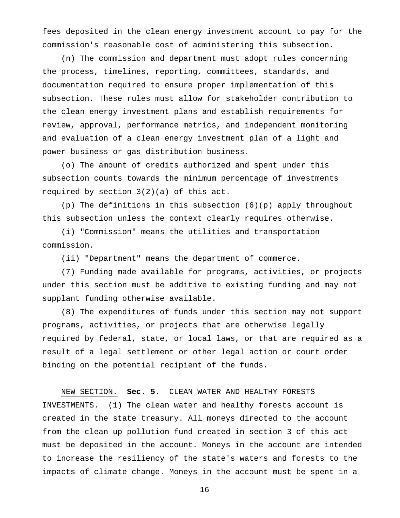fees deposited in the clean energy investment account to pay for the commission's reasonable cost of administering this subsection.

(n) The commission and department must adopt rules concerning the process, timelines, reporting, committees, standards, and documentation required to ensure proper implementation of this subsection. These rules must allow for stakeholder contribution to the clean energy investment plans and establish requirements for review, approval, performance metrics, and independent monitoring and evaluation of a clean energy investment plan of a light and power business or gas distribution business.

(o) The amount of credits authorized and spent under this subsection counts towards the minimum percentage of investments required by section 3(2)(a) of this act.

(p) The definitions in this subsection (6)(p) apply throughout this subsection unless the context clearly requires otherwise.

(i) "Commission" means the utilities and transportation commission.

(ii) "Department" means the department of commerce.

(7) Funding made available for programs, activities, or projects under this section must be additive to existing funding and may not supplant funding otherwise available.

(8) The expenditures of funds under this section may not support programs, activities, or projects that are otherwise legally required by federal, state, or local laws, or that are required as a result of a legal settlement or other legal action or court order binding on the potential recipient of the funds.

## NEW SECTION. **Sec. 5.** CLEAN WATER AND HEALTHY FORESTS

INVESTMENTS. (1) The clean water and healthy forests account is created in the state treasury. All moneys directed to the account from the clean up pollution fund created in section 3 of this act must be deposited in the account. Moneys in the account are intended to increase the resiliency of the state's waters and forests to the impacts of climate change. Moneys in the account must be spent in a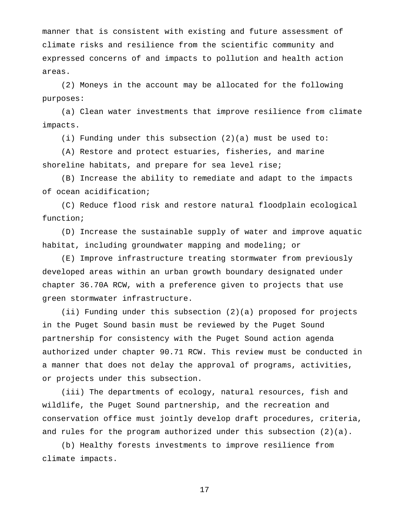manner that is consistent with existing and future assessment of climate risks and resilience from the scientific community and expressed concerns of and impacts to pollution and health action areas.

(2) Moneys in the account may be allocated for the following purposes:

(a) Clean water investments that improve resilience from climate impacts.

(i) Funding under this subsection (2)(a) must be used to:

(A) Restore and protect estuaries, fisheries, and marine shoreline habitats, and prepare for sea level rise;

(B) Increase the ability to remediate and adapt to the impacts of ocean acidification;

(C) Reduce flood risk and restore natural floodplain ecological function;

(D) Increase the sustainable supply of water and improve aquatic habitat, including groundwater mapping and modeling; or

(E) Improve infrastructure treating stormwater from previously developed areas within an urban growth boundary designated under chapter 36.70A RCW, with a preference given to projects that use green stormwater infrastructure.

(ii) Funding under this subsection (2)(a) proposed for projects in the Puget Sound basin must be reviewed by the Puget Sound partnership for consistency with the Puget Sound action agenda authorized under chapter 90.71 RCW. This review must be conducted in a manner that does not delay the approval of programs, activities, or projects under this subsection.

(iii) The departments of ecology, natural resources, fish and wildlife, the Puget Sound partnership, and the recreation and conservation office must jointly develop draft procedures, criteria, and rules for the program authorized under this subsection (2)(a).

(b) Healthy forests investments to improve resilience from climate impacts.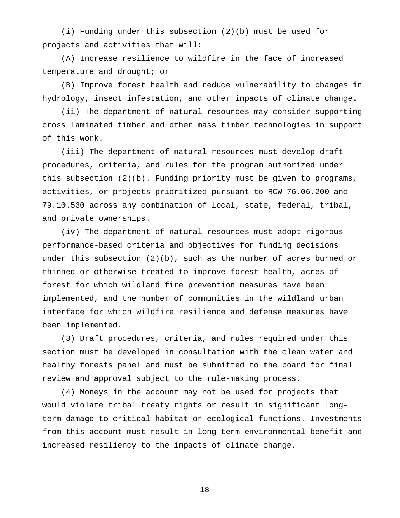(i) Funding under this subsection (2)(b) must be used for projects and activities that will:

(A) Increase resilience to wildfire in the face of increased temperature and drought; or

(B) Improve forest health and reduce vulnerability to changes in hydrology, insect infestation, and other impacts of climate change.

(ii) The department of natural resources may consider supporting cross laminated timber and other mass timber technologies in support of this work.

(iii) The department of natural resources must develop draft procedures, criteria, and rules for the program authorized under this subsection (2)(b). Funding priority must be given to programs, activities, or projects prioritized pursuant to RCW 76.06.200 and 79.10.530 across any combination of local, state, federal, tribal, and private ownerships.

(iv) The department of natural resources must adopt rigorous performance-based criteria and objectives for funding decisions under this subsection (2)(b), such as the number of acres burned or thinned or otherwise treated to improve forest health, acres of forest for which wildland fire prevention measures have been implemented, and the number of communities in the wildland urban interface for which wildfire resilience and defense measures have been implemented.

(3) Draft procedures, criteria, and rules required under this section must be developed in consultation with the clean water and healthy forests panel and must be submitted to the board for final review and approval subject to the rule-making process.

(4) Moneys in the account may not be used for projects that would violate tribal treaty rights or result in significant longterm damage to critical habitat or ecological functions. Investments from this account must result in long-term environmental benefit and increased resiliency to the impacts of climate change.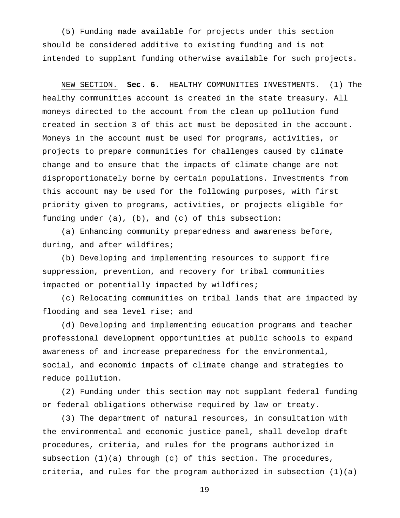(5) Funding made available for projects under this section should be considered additive to existing funding and is not intended to supplant funding otherwise available for such projects.

NEW SECTION. **Sec. 6.** HEALTHY COMMUNITIES INVESTMENTS. (1) The healthy communities account is created in the state treasury. All moneys directed to the account from the clean up pollution fund created in section 3 of this act must be deposited in the account. Moneys in the account must be used for programs, activities, or projects to prepare communities for challenges caused by climate change and to ensure that the impacts of climate change are not disproportionately borne by certain populations. Investments from this account may be used for the following purposes, with first priority given to programs, activities, or projects eligible for funding under (a), (b), and (c) of this subsection:

(a) Enhancing community preparedness and awareness before, during, and after wildfires;

(b) Developing and implementing resources to support fire suppression, prevention, and recovery for tribal communities impacted or potentially impacted by wildfires;

(c) Relocating communities on tribal lands that are impacted by flooding and sea level rise; and

(d) Developing and implementing education programs and teacher professional development opportunities at public schools to expand awareness of and increase preparedness for the environmental, social, and economic impacts of climate change and strategies to reduce pollution.

(2) Funding under this section may not supplant federal funding or federal obligations otherwise required by law or treaty.

(3) The department of natural resources, in consultation with the environmental and economic justice panel, shall develop draft procedures, criteria, and rules for the programs authorized in subsection (1)(a) through (c) of this section. The procedures, criteria, and rules for the program authorized in subsection (1)(a)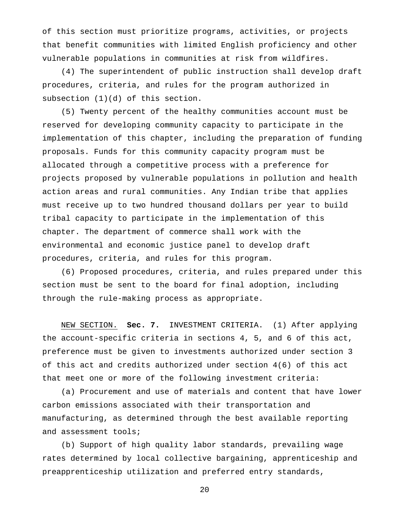of this section must prioritize programs, activities, or projects that benefit communities with limited English proficiency and other vulnerable populations in communities at risk from wildfires.

(4) The superintendent of public instruction shall develop draft procedures, criteria, and rules for the program authorized in subsection (1)(d) of this section.

(5) Twenty percent of the healthy communities account must be reserved for developing community capacity to participate in the implementation of this chapter, including the preparation of funding proposals. Funds for this community capacity program must be allocated through a competitive process with a preference for projects proposed by vulnerable populations in pollution and health action areas and rural communities. Any Indian tribe that applies must receive up to two hundred thousand dollars per year to build tribal capacity to participate in the implementation of this chapter. The department of commerce shall work with the environmental and economic justice panel to develop draft procedures, criteria, and rules for this program.

(6) Proposed procedures, criteria, and rules prepared under this section must be sent to the board for final adoption, including through the rule-making process as appropriate.

NEW SECTION. **Sec. 7.** INVESTMENT CRITERIA. (1) After applying the account-specific criteria in sections 4, 5, and 6 of this act, preference must be given to investments authorized under section 3 of this act and credits authorized under section 4(6) of this act that meet one or more of the following investment criteria:

(a) Procurement and use of materials and content that have lower carbon emissions associated with their transportation and manufacturing, as determined through the best available reporting and assessment tools;

(b) Support of high quality labor standards, prevailing wage rates determined by local collective bargaining, apprenticeship and preapprenticeship utilization and preferred entry standards,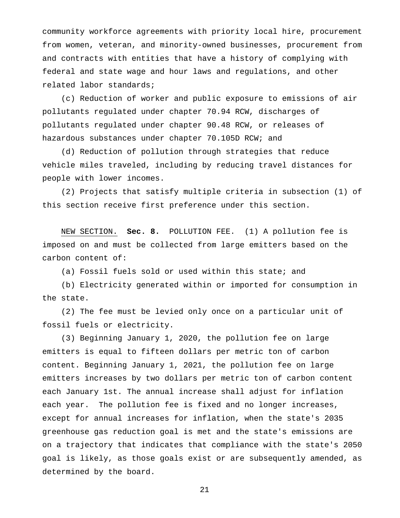community workforce agreements with priority local hire, procurement from women, veteran, and minority-owned businesses, procurement from and contracts with entities that have a history of complying with federal and state wage and hour laws and regulations, and other related labor standards;

(c) Reduction of worker and public exposure to emissions of air pollutants regulated under chapter 70.94 RCW, discharges of pollutants regulated under chapter 90.48 RCW, or releases of hazardous substances under chapter 70.105D RCW; and

(d) Reduction of pollution through strategies that reduce vehicle miles traveled, including by reducing travel distances for people with lower incomes.

(2) Projects that satisfy multiple criteria in subsection (1) of this section receive first preference under this section.

NEW SECTION. **Sec. 8.** POLLUTION FEE. (1) A pollution fee is imposed on and must be collected from large emitters based on the carbon content of:

(a) Fossil fuels sold or used within this state; and

(b) Electricity generated within or imported for consumption in the state.

(2) The fee must be levied only once on a particular unit of fossil fuels or electricity.

(3) Beginning January 1, 2020, the pollution fee on large emitters is equal to fifteen dollars per metric ton of carbon content. Beginning January 1, 2021, the pollution fee on large emitters increases by two dollars per metric ton of carbon content each January 1st. The annual increase shall adjust for inflation each year. The pollution fee is fixed and no longer increases, except for annual increases for inflation, when the state's 2035 greenhouse gas reduction goal is met and the state's emissions are on a trajectory that indicates that compliance with the state's 2050 goal is likely, as those goals exist or are subsequently amended, as determined by the board.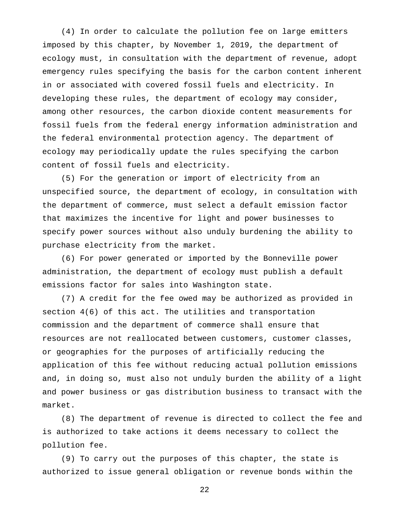(4) In order to calculate the pollution fee on large emitters imposed by this chapter, by November 1, 2019, the department of ecology must, in consultation with the department of revenue, adopt emergency rules specifying the basis for the carbon content inherent in or associated with covered fossil fuels and electricity. In developing these rules, the department of ecology may consider, among other resources, the carbon dioxide content measurements for fossil fuels from the federal energy information administration and the federal environmental protection agency. The department of ecology may periodically update the rules specifying the carbon content of fossil fuels and electricity.

(5) For the generation or import of electricity from an unspecified source, the department of ecology, in consultation with the department of commerce, must select a default emission factor that maximizes the incentive for light and power businesses to specify power sources without also unduly burdening the ability to purchase electricity from the market.

(6) For power generated or imported by the Bonneville power administration, the department of ecology must publish a default emissions factor for sales into Washington state.

(7) A credit for the fee owed may be authorized as provided in section 4(6) of this act. The utilities and transportation commission and the department of commerce shall ensure that resources are not reallocated between customers, customer classes, or geographies for the purposes of artificially reducing the application of this fee without reducing actual pollution emissions and, in doing so, must also not unduly burden the ability of a light and power business or gas distribution business to transact with the market.

(8) The department of revenue is directed to collect the fee and is authorized to take actions it deems necessary to collect the pollution fee.

(9) To carry out the purposes of this chapter, the state is authorized to issue general obligation or revenue bonds within the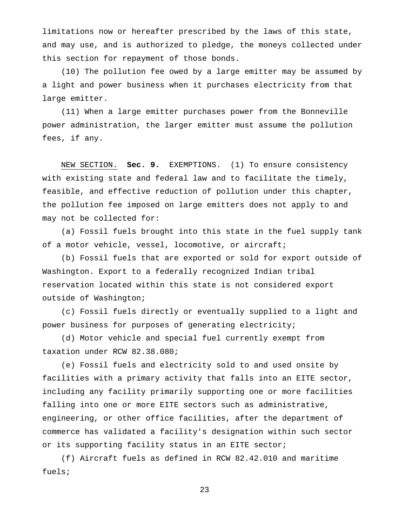limitations now or hereafter prescribed by the laws of this state, and may use, and is authorized to pledge, the moneys collected under this section for repayment of those bonds.

(10) The pollution fee owed by a large emitter may be assumed by a light and power business when it purchases electricity from that large emitter.

(11) When a large emitter purchases power from the Bonneville power administration, the larger emitter must assume the pollution fees, if any.

NEW SECTION. **Sec. 9.** EXEMPTIONS. (1) To ensure consistency with existing state and federal law and to facilitate the timely, feasible, and effective reduction of pollution under this chapter, the pollution fee imposed on large emitters does not apply to and may not be collected for:

(a) Fossil fuels brought into this state in the fuel supply tank of a motor vehicle, vessel, locomotive, or aircraft;

(b) Fossil fuels that are exported or sold for export outside of Washington. Export to a federally recognized Indian tribal reservation located within this state is not considered export outside of Washington;

(c) Fossil fuels directly or eventually supplied to a light and power business for purposes of generating electricity;

(d) Motor vehicle and special fuel currently exempt from taxation under RCW 82.38.080;

(e) Fossil fuels and electricity sold to and used onsite by facilities with a primary activity that falls into an EITE sector, including any facility primarily supporting one or more facilities falling into one or more EITE sectors such as administrative, engineering, or other office facilities, after the department of commerce has validated a facility's designation within such sector or its supporting facility status in an EITE sector;

(f) Aircraft fuels as defined in RCW 82.42.010 and maritime fuels;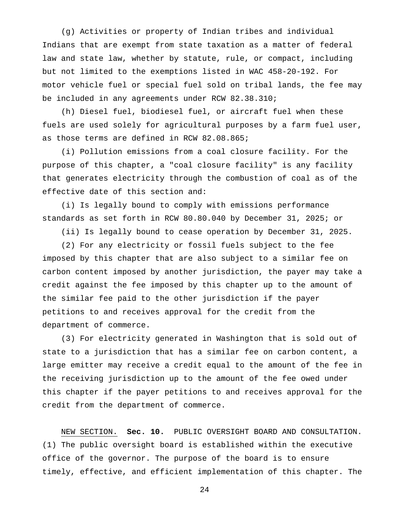(g) Activities or property of Indian tribes and individual Indians that are exempt from state taxation as a matter of federal law and state law, whether by statute, rule, or compact, including but not limited to the exemptions listed in WAC 458-20-192. For motor vehicle fuel or special fuel sold on tribal lands, the fee may be included in any agreements under RCW 82.38.310;

(h) Diesel fuel, biodiesel fuel, or aircraft fuel when these fuels are used solely for agricultural purposes by a farm fuel user, as those terms are defined in RCW 82.08.865;

(i) Pollution emissions from a coal closure facility. For the purpose of this chapter, a "coal closure facility" is any facility that generates electricity through the combustion of coal as of the effective date of this section and:

(i) Is legally bound to comply with emissions performance standards as set forth in RCW 80.80.040 by December 31, 2025; or

(ii) Is legally bound to cease operation by December 31, 2025.

(2) For any electricity or fossil fuels subject to the fee imposed by this chapter that are also subject to a similar fee on carbon content imposed by another jurisdiction, the payer may take a credit against the fee imposed by this chapter up to the amount of the similar fee paid to the other jurisdiction if the payer petitions to and receives approval for the credit from the department of commerce.

(3) For electricity generated in Washington that is sold out of state to a jurisdiction that has a similar fee on carbon content, a large emitter may receive a credit equal to the amount of the fee in the receiving jurisdiction up to the amount of the fee owed under this chapter if the payer petitions to and receives approval for the credit from the department of commerce.

NEW SECTION. **Sec. 10.** PUBLIC OVERSIGHT BOARD AND CONSULTATION. (1) The public oversight board is established within the executive office of the governor. The purpose of the board is to ensure timely, effective, and efficient implementation of this chapter. The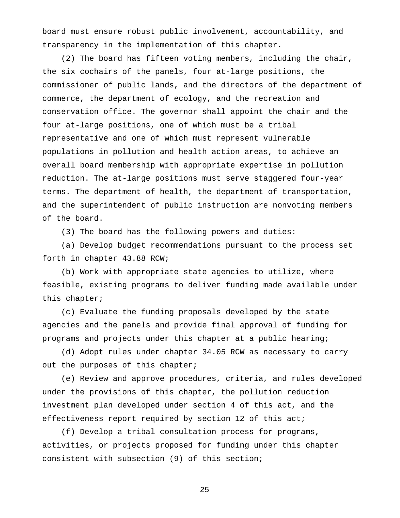board must ensure robust public involvement, accountability, and transparency in the implementation of this chapter.

(2) The board has fifteen voting members, including the chair, the six cochairs of the panels, four at-large positions, the commissioner of public lands, and the directors of the department of commerce, the department of ecology, and the recreation and conservation office. The governor shall appoint the chair and the four at-large positions, one of which must be a tribal representative and one of which must represent vulnerable populations in pollution and health action areas, to achieve an overall board membership with appropriate expertise in pollution reduction. The at-large positions must serve staggered four-year terms. The department of health, the department of transportation, and the superintendent of public instruction are nonvoting members of the board.

(3) The board has the following powers and duties:

(a) Develop budget recommendations pursuant to the process set forth in chapter 43.88 RCW;

(b) Work with appropriate state agencies to utilize, where feasible, existing programs to deliver funding made available under this chapter;

(c) Evaluate the funding proposals developed by the state agencies and the panels and provide final approval of funding for programs and projects under this chapter at a public hearing;

(d) Adopt rules under chapter 34.05 RCW as necessary to carry out the purposes of this chapter;

(e) Review and approve procedures, criteria, and rules developed under the provisions of this chapter, the pollution reduction investment plan developed under section 4 of this act, and the effectiveness report required by section 12 of this act;

(f) Develop a tribal consultation process for programs, activities, or projects proposed for funding under this chapter consistent with subsection (9) of this section;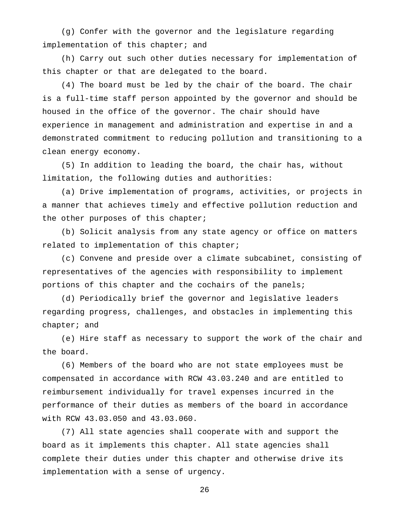(g) Confer with the governor and the legislature regarding implementation of this chapter; and

(h) Carry out such other duties necessary for implementation of this chapter or that are delegated to the board.

(4) The board must be led by the chair of the board. The chair is a full-time staff person appointed by the governor and should be housed in the office of the governor. The chair should have experience in management and administration and expertise in and a demonstrated commitment to reducing pollution and transitioning to a clean energy economy.

(5) In addition to leading the board, the chair has, without limitation, the following duties and authorities:

(a) Drive implementation of programs, activities, or projects in a manner that achieves timely and effective pollution reduction and the other purposes of this chapter;

(b) Solicit analysis from any state agency or office on matters related to implementation of this chapter;

(c) Convene and preside over a climate subcabinet, consisting of representatives of the agencies with responsibility to implement portions of this chapter and the cochairs of the panels;

(d) Periodically brief the governor and legislative leaders regarding progress, challenges, and obstacles in implementing this chapter; and

(e) Hire staff as necessary to support the work of the chair and the board.

(6) Members of the board who are not state employees must be compensated in accordance with RCW 43.03.240 and are entitled to reimbursement individually for travel expenses incurred in the performance of their duties as members of the board in accordance with RCW 43.03.050 and 43.03.060.

(7) All state agencies shall cooperate with and support the board as it implements this chapter. All state agencies shall complete their duties under this chapter and otherwise drive its implementation with a sense of urgency.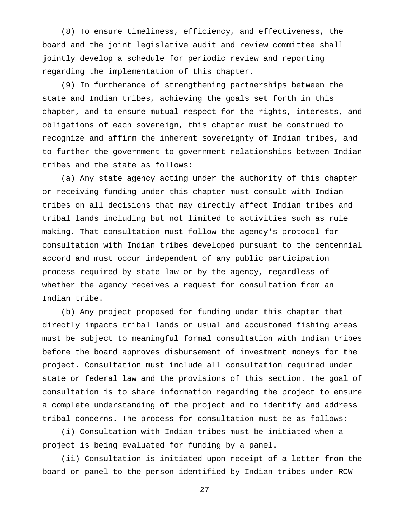(8) To ensure timeliness, efficiency, and effectiveness, the board and the joint legislative audit and review committee shall jointly develop a schedule for periodic review and reporting regarding the implementation of this chapter.

(9) In furtherance of strengthening partnerships between the state and Indian tribes, achieving the goals set forth in this chapter, and to ensure mutual respect for the rights, interests, and obligations of each sovereign, this chapter must be construed to recognize and affirm the inherent sovereignty of Indian tribes, and to further the government-to-government relationships between Indian tribes and the state as follows:

(a) Any state agency acting under the authority of this chapter or receiving funding under this chapter must consult with Indian tribes on all decisions that may directly affect Indian tribes and tribal lands including but not limited to activities such as rule making. That consultation must follow the agency's protocol for consultation with Indian tribes developed pursuant to the centennial accord and must occur independent of any public participation process required by state law or by the agency, regardless of whether the agency receives a request for consultation from an Indian tribe.

(b) Any project proposed for funding under this chapter that directly impacts tribal lands or usual and accustomed fishing areas must be subject to meaningful formal consultation with Indian tribes before the board approves disbursement of investment moneys for the project. Consultation must include all consultation required under state or federal law and the provisions of this section. The goal of consultation is to share information regarding the project to ensure a complete understanding of the project and to identify and address tribal concerns. The process for consultation must be as follows:

(i) Consultation with Indian tribes must be initiated when a project is being evaluated for funding by a panel.

(ii) Consultation is initiated upon receipt of a letter from the board or panel to the person identified by Indian tribes under RCW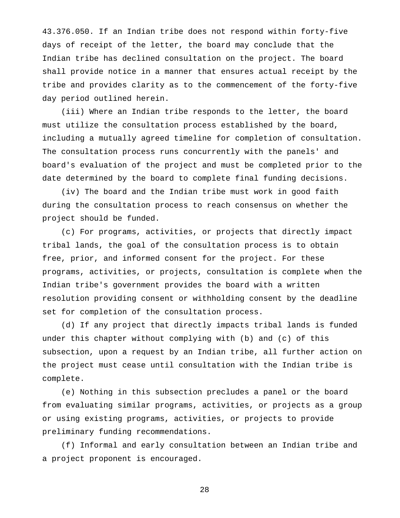43.376.050. If an Indian tribe does not respond within forty-five days of receipt of the letter, the board may conclude that the Indian tribe has declined consultation on the project. The board shall provide notice in a manner that ensures actual receipt by the tribe and provides clarity as to the commencement of the forty-five day period outlined herein.

(iii) Where an Indian tribe responds to the letter, the board must utilize the consultation process established by the board, including a mutually agreed timeline for completion of consultation. The consultation process runs concurrently with the panels' and board's evaluation of the project and must be completed prior to the date determined by the board to complete final funding decisions.

(iv) The board and the Indian tribe must work in good faith during the consultation process to reach consensus on whether the project should be funded.

(c) For programs, activities, or projects that directly impact tribal lands, the goal of the consultation process is to obtain free, prior, and informed consent for the project. For these programs, activities, or projects, consultation is complete when the Indian tribe's government provides the board with a written resolution providing consent or withholding consent by the deadline set for completion of the consultation process.

(d) If any project that directly impacts tribal lands is funded under this chapter without complying with (b) and (c) of this subsection, upon a request by an Indian tribe, all further action on the project must cease until consultation with the Indian tribe is complete.

(e) Nothing in this subsection precludes a panel or the board from evaluating similar programs, activities, or projects as a group or using existing programs, activities, or projects to provide preliminary funding recommendations.

(f) Informal and early consultation between an Indian tribe and a project proponent is encouraged.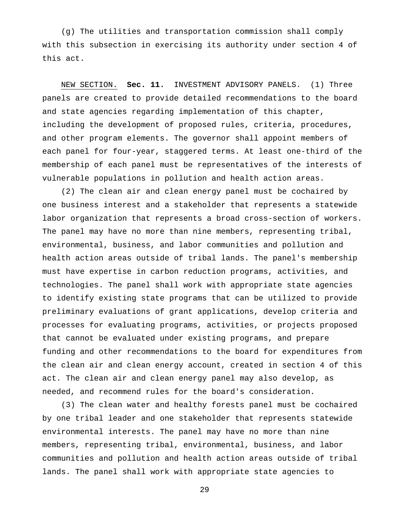(g) The utilities and transportation commission shall comply with this subsection in exercising its authority under section 4 of this act.

NEW SECTION. **Sec. 11.** INVESTMENT ADVISORY PANELS. (1) Three panels are created to provide detailed recommendations to the board and state agencies regarding implementation of this chapter, including the development of proposed rules, criteria, procedures, and other program elements. The governor shall appoint members of each panel for four-year, staggered terms. At least one-third of the membership of each panel must be representatives of the interests of vulnerable populations in pollution and health action areas.

(2) The clean air and clean energy panel must be cochaired by one business interest and a stakeholder that represents a statewide labor organization that represents a broad cross-section of workers. The panel may have no more than nine members, representing tribal, environmental, business, and labor communities and pollution and health action areas outside of tribal lands. The panel's membership must have expertise in carbon reduction programs, activities, and technologies. The panel shall work with appropriate state agencies to identify existing state programs that can be utilized to provide preliminary evaluations of grant applications, develop criteria and processes for evaluating programs, activities, or projects proposed that cannot be evaluated under existing programs, and prepare funding and other recommendations to the board for expenditures from the clean air and clean energy account, created in section 4 of this act. The clean air and clean energy panel may also develop, as needed, and recommend rules for the board's consideration.

(3) The clean water and healthy forests panel must be cochaired by one tribal leader and one stakeholder that represents statewide environmental interests. The panel may have no more than nine members, representing tribal, environmental, business, and labor communities and pollution and health action areas outside of tribal lands. The panel shall work with appropriate state agencies to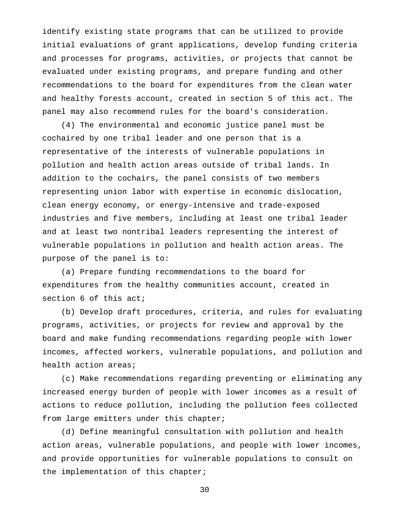identify existing state programs that can be utilized to provide initial evaluations of grant applications, develop funding criteria and processes for programs, activities, or projects that cannot be evaluated under existing programs, and prepare funding and other recommendations to the board for expenditures from the clean water and healthy forests account, created in section 5 of this act. The panel may also recommend rules for the board's consideration.

(4) The environmental and economic justice panel must be cochaired by one tribal leader and one person that is a representative of the interests of vulnerable populations in pollution and health action areas outside of tribal lands. In addition to the cochairs, the panel consists of two members representing union labor with expertise in economic dislocation, clean energy economy, or energy-intensive and trade-exposed industries and five members, including at least one tribal leader and at least two nontribal leaders representing the interest of vulnerable populations in pollution and health action areas. The purpose of the panel is to:

(a) Prepare funding recommendations to the board for expenditures from the healthy communities account, created in section 6 of this act;

(b) Develop draft procedures, criteria, and rules for evaluating programs, activities, or projects for review and approval by the board and make funding recommendations regarding people with lower incomes, affected workers, vulnerable populations, and pollution and health action areas;

(c) Make recommendations regarding preventing or eliminating any increased energy burden of people with lower incomes as a result of actions to reduce pollution, including the pollution fees collected from large emitters under this chapter;

(d) Define meaningful consultation with pollution and health action areas, vulnerable populations, and people with lower incomes, and provide opportunities for vulnerable populations to consult on the implementation of this chapter;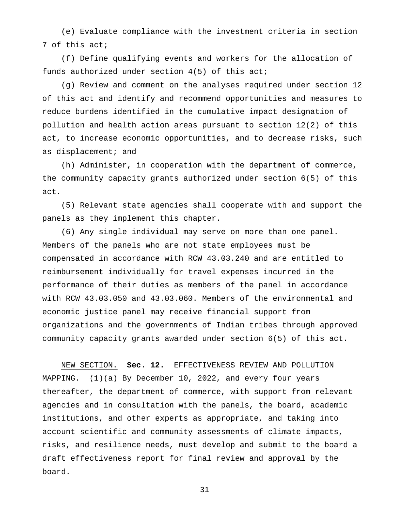(e) Evaluate compliance with the investment criteria in section 7 of this act;

(f) Define qualifying events and workers for the allocation of funds authorized under section 4(5) of this act;

(g) Review and comment on the analyses required under section 12 of this act and identify and recommend opportunities and measures to reduce burdens identified in the cumulative impact designation of pollution and health action areas pursuant to section 12(2) of this act, to increase economic opportunities, and to decrease risks, such as displacement; and

(h) Administer, in cooperation with the department of commerce, the community capacity grants authorized under section 6(5) of this act.

(5) Relevant state agencies shall cooperate with and support the panels as they implement this chapter.

(6) Any single individual may serve on more than one panel. Members of the panels who are not state employees must be compensated in accordance with RCW 43.03.240 and are entitled to reimbursement individually for travel expenses incurred in the performance of their duties as members of the panel in accordance with RCW 43.03.050 and 43.03.060. Members of the environmental and economic justice panel may receive financial support from organizations and the governments of Indian tribes through approved community capacity grants awarded under section 6(5) of this act.

NEW SECTION. **Sec. 12.** EFFECTIVENESS REVIEW AND POLLUTION MAPPING. (1)(a) By December 10, 2022, and every four years thereafter, the department of commerce, with support from relevant agencies and in consultation with the panels, the board, academic institutions, and other experts as appropriate, and taking into account scientific and community assessments of climate impacts, risks, and resilience needs, must develop and submit to the board a draft effectiveness report for final review and approval by the board.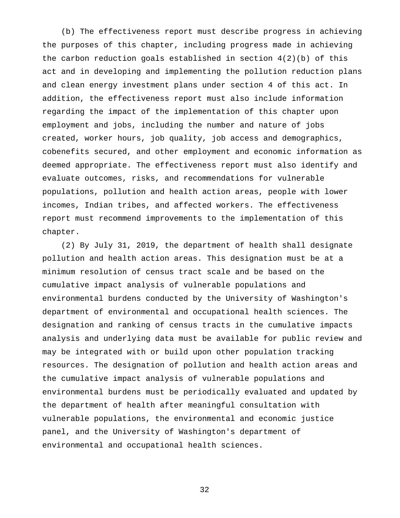(b) The effectiveness report must describe progress in achieving the purposes of this chapter, including progress made in achieving the carbon reduction goals established in section  $4(2)(b)$  of this act and in developing and implementing the pollution reduction plans and clean energy investment plans under section 4 of this act. In addition, the effectiveness report must also include information regarding the impact of the implementation of this chapter upon employment and jobs, including the number and nature of jobs created, worker hours, job quality, job access and demographics, cobenefits secured, and other employment and economic information as deemed appropriate. The effectiveness report must also identify and evaluate outcomes, risks, and recommendations for vulnerable populations, pollution and health action areas, people with lower incomes, Indian tribes, and affected workers. The effectiveness report must recommend improvements to the implementation of this chapter.

(2) By July 31, 2019, the department of health shall designate pollution and health action areas. This designation must be at a minimum resolution of census tract scale and be based on the cumulative impact analysis of vulnerable populations and environmental burdens conducted by the University of Washington's department of environmental and occupational health sciences. The designation and ranking of census tracts in the cumulative impacts analysis and underlying data must be available for public review and may be integrated with or build upon other population tracking resources. The designation of pollution and health action areas and the cumulative impact analysis of vulnerable populations and environmental burdens must be periodically evaluated and updated by the department of health after meaningful consultation with vulnerable populations, the environmental and economic justice panel, and the University of Washington's department of environmental and occupational health sciences.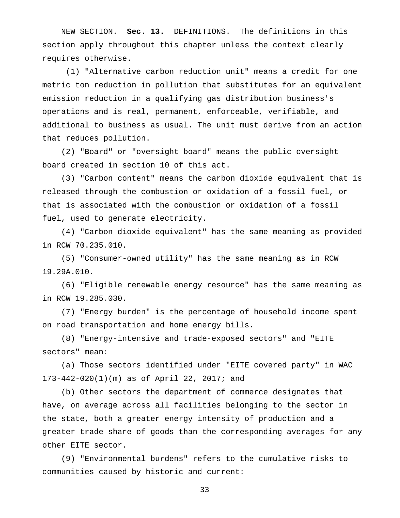NEW SECTION. **Sec. 13.** DEFINITIONS. The definitions in this section apply throughout this chapter unless the context clearly requires otherwise.

(1) "Alternative carbon reduction unit" means a credit for one metric ton reduction in pollution that substitutes for an equivalent emission reduction in a qualifying gas distribution business's operations and is real, permanent, enforceable, verifiable, and additional to business as usual. The unit must derive from an action that reduces pollution.

(2) "Board" or "oversight board" means the public oversight board created in section 10 of this act.

(3) "Carbon content" means the carbon dioxide equivalent that is released through the combustion or oxidation of a fossil fuel, or that is associated with the combustion or oxidation of a fossil fuel, used to generate electricity.

(4) "Carbon dioxide equivalent" has the same meaning as provided in RCW 70.235.010.

(5) "Consumer-owned utility" has the same meaning as in RCW 19.29A.010.

(6) "Eligible renewable energy resource" has the same meaning as in RCW 19.285.030.

(7) "Energy burden" is the percentage of household income spent on road transportation and home energy bills.

(8) "Energy-intensive and trade-exposed sectors" and "EITE sectors" mean:

(a) Those sectors identified under "EITE covered party" in WAC 173-442-020(1)(m) as of April 22, 2017; and

(b) Other sectors the department of commerce designates that have, on average across all facilities belonging to the sector in the state, both a greater energy intensity of production and a greater trade share of goods than the corresponding averages for any other EITE sector.

(9) "Environmental burdens" refers to the cumulative risks to communities caused by historic and current: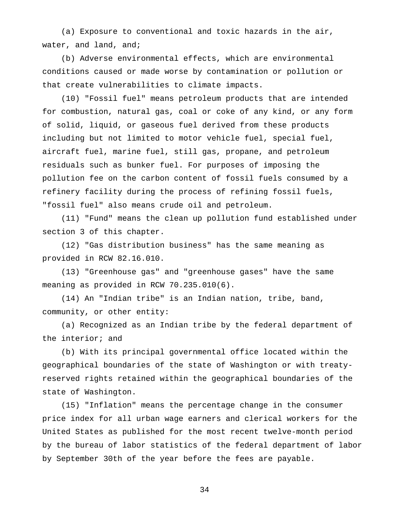(a) Exposure to conventional and toxic hazards in the air, water, and land, and;

(b) Adverse environmental effects, which are environmental conditions caused or made worse by contamination or pollution or that create vulnerabilities to climate impacts.

(10) "Fossil fuel" means petroleum products that are intended for combustion, natural gas, coal or coke of any kind, or any form of solid, liquid, or gaseous fuel derived from these products including but not limited to motor vehicle fuel, special fuel, aircraft fuel, marine fuel, still gas, propane, and petroleum residuals such as bunker fuel. For purposes of imposing the pollution fee on the carbon content of fossil fuels consumed by a refinery facility during the process of refining fossil fuels, "fossil fuel" also means crude oil and petroleum.

(11) "Fund" means the clean up pollution fund established under section 3 of this chapter.

(12) "Gas distribution business" has the same meaning as provided in RCW 82.16.010.

(13) "Greenhouse gas" and "greenhouse gases" have the same meaning as provided in RCW 70.235.010(6).

(14) An "Indian tribe" is an Indian nation, tribe, band, community, or other entity:

(a) Recognized as an Indian tribe by the federal department of the interior; and

(b) With its principal governmental office located within the geographical boundaries of the state of Washington or with treatyreserved rights retained within the geographical boundaries of the state of Washington.

(15) "Inflation" means the percentage change in the consumer price index for all urban wage earners and clerical workers for the United States as published for the most recent twelve-month period by the bureau of labor statistics of the federal department of labor by September 30th of the year before the fees are payable.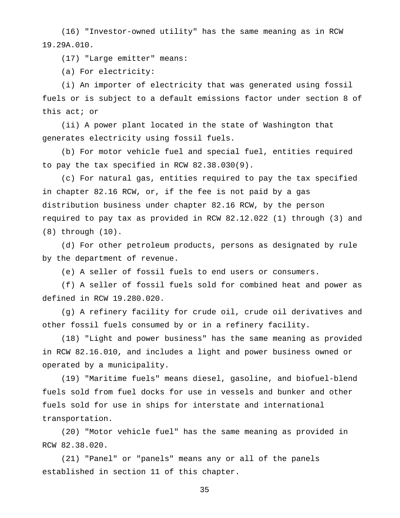(16) "Investor-owned utility" has the same meaning as in RCW 19.29A.010.

(17) "Large emitter" means:

(a) For electricity:

(i) An importer of electricity that was generated using fossil fuels or is subject to a default emissions factor under section 8 of this act; or

(ii) A power plant located in the state of Washington that generates electricity using fossil fuels.

(b) For motor vehicle fuel and special fuel, entities required to pay the tax specified in RCW 82.38.030(9).

(c) For natural gas, entities required to pay the tax specified in chapter 82.16 RCW, or, if the fee is not paid by a gas distribution business under chapter 82.16 RCW, by the person required to pay tax as provided in RCW 82.12.022 (1) through (3) and (8) through (10).

(d) For other petroleum products, persons as designated by rule by the department of revenue.

(e) A seller of fossil fuels to end users or consumers.

(f) A seller of fossil fuels sold for combined heat and power as defined in RCW 19.280.020.

(g) A refinery facility for crude oil, crude oil derivatives and other fossil fuels consumed by or in a refinery facility.

(18) "Light and power business" has the same meaning as provided in RCW 82.16.010, and includes a light and power business owned or operated by a municipality.

(19) "Maritime fuels" means diesel, gasoline, and biofuel-blend fuels sold from fuel docks for use in vessels and bunker and other fuels sold for use in ships for interstate and international transportation.

(20) "Motor vehicle fuel" has the same meaning as provided in RCW 82.38.020.

(21) "Panel" or "panels" means any or all of the panels established in section 11 of this chapter.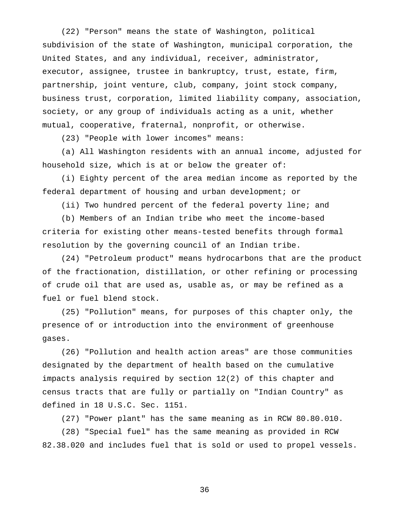(22) "Person" means the state of Washington, political subdivision of the state of Washington, municipal corporation, the United States, and any individual, receiver, administrator, executor, assignee, trustee in bankruptcy, trust, estate, firm, partnership, joint venture, club, company, joint stock company, business trust, corporation, limited liability company, association, society, or any group of individuals acting as a unit, whether mutual, cooperative, fraternal, nonprofit, or otherwise.

(23) "People with lower incomes" means:

(a) All Washington residents with an annual income, adjusted for household size, which is at or below the greater of:

(i) Eighty percent of the area median income as reported by the federal department of housing and urban development; or

(ii) Two hundred percent of the federal poverty line; and

(b) Members of an Indian tribe who meet the income-based criteria for existing other means-tested benefits through formal resolution by the governing council of an Indian tribe.

(24) "Petroleum product" means hydrocarbons that are the product of the fractionation, distillation, or other refining or processing of crude oil that are used as, usable as, or may be refined as a fuel or fuel blend stock.

(25) "Pollution" means, for purposes of this chapter only, the presence of or introduction into the environment of greenhouse gases.

(26) "Pollution and health action areas" are those communities designated by the department of health based on the cumulative impacts analysis required by section 12(2) of this chapter and census tracts that are fully or partially on "Indian Country" as defined in 18 U.S.C. Sec. 1151.

(27) "Power plant" has the same meaning as in RCW 80.80.010.

(28) "Special fuel" has the same meaning as provided in RCW 82.38.020 and includes fuel that is sold or used to propel vessels.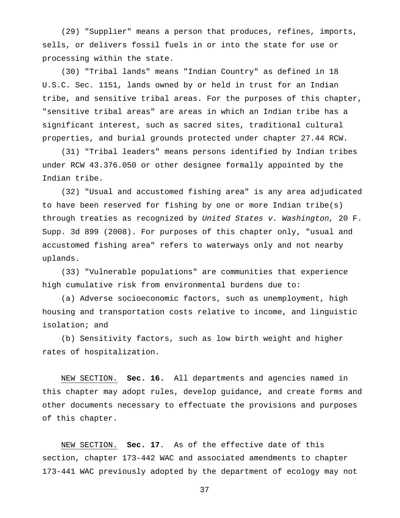(29) "Supplier" means a person that produces, refines, imports, sells, or delivers fossil fuels in or into the state for use or processing within the state.

(30) "Tribal lands" means "Indian Country" as defined in 18 U.S.C. Sec. 1151, lands owned by or held in trust for an Indian tribe, and sensitive tribal areas. For the purposes of this chapter, "sensitive tribal areas" are areas in which an Indian tribe has a significant interest, such as sacred sites, traditional cultural properties, and burial grounds protected under chapter 27.44 RCW.

(31) "Tribal leaders" means persons identified by Indian tribes under RCW 43.376.050 or other designee formally appointed by the Indian tribe.

(32) "Usual and accustomed fishing area" is any area adjudicated to have been reserved for fishing by one or more Indian tribe(s) through treaties as recognized by *United States v. Washington,* 20 F. Supp. 3d 899 (2008). For purposes of this chapter only, "usual and accustomed fishing area" refers to waterways only and not nearby uplands.

(33) "Vulnerable populations" are communities that experience high cumulative risk from environmental burdens due to:

(a) Adverse socioeconomic factors, such as unemployment, high housing and transportation costs relative to income, and linguistic isolation; and

(b) Sensitivity factors, such as low birth weight and higher rates of hospitalization.

NEW SECTION. **Sec. 16.** All departments and agencies named in this chapter may adopt rules, develop guidance, and create forms and other documents necessary to effectuate the provisions and purposes of this chapter.

NEW SECTION. **Sec. 17**. As of the effective date of this section, chapter 173-442 WAC and associated amendments to chapter 173-441 WAC previously adopted by the department of ecology may not